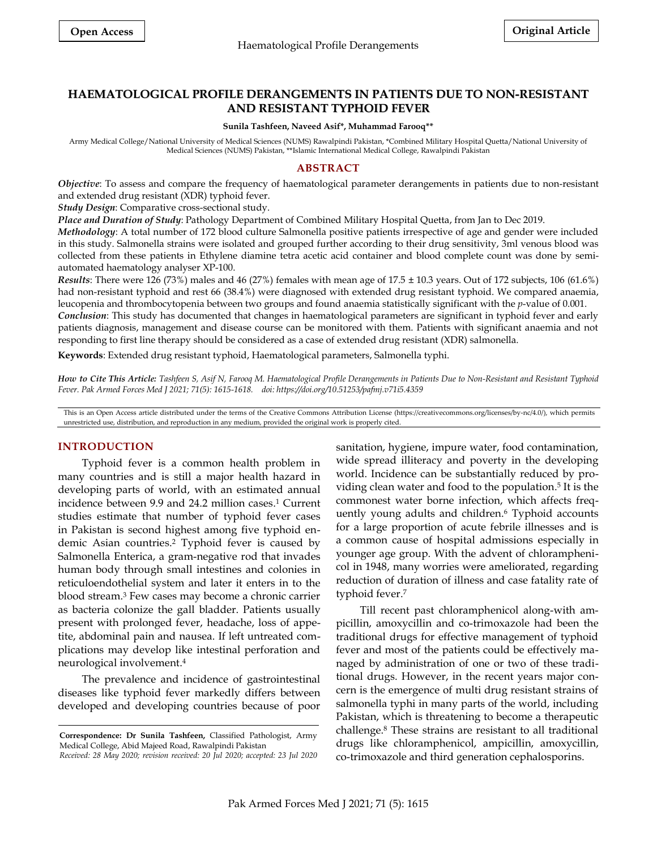# **HAEMATOLOGICAL PROFILE DERANGEMENTS IN PATIENTS DUE TO NON-RESISTANT AND RESISTANT TYPHOID FEVER**

#### **Sunila Tashfeen, Naveed Asif\*, Muhammad Farooq\*\***

Army Medical College/National University of Medical Sciences (NUMS) Rawalpindi Pakistan, \*Combined Military Hospital Quetta/National University of Medical Sciences (NUMS) Pakistan, \*\*Islamic International Medical College, Rawalpindi Pakistan

### **ABSTRACT**

*Objective*: To assess and compare the frequency of haematological parameter derangements in patients due to non-resistant and extended drug resistant (XDR) typhoid fever.

*Study Design*: Comparative cross-sectional study.

*Place and Duration of Study*: Pathology Department of Combined Military Hospital Quetta, from Jan to Dec 2019.

*Methodology*: A total number of 172 blood culture Salmonella positive patients irrespective of age and gender were included in this study. Salmonella strains were isolated and grouped further according to their drug sensitivity, 3ml venous blood was collected from these patients in Ethylene diamine tetra acetic acid container and blood complete count was done by semiautomated haematology analyser XP-100.

*Results*: There were 126 (73%) males and 46 (27%) females with mean age of 17.5 ± 10.3 years. Out of 172 subjects, 106 (61.6%) had non-resistant typhoid and rest 66 (38.4%) were diagnosed with extended drug resistant typhoid. We compared anaemia, leucopenia and thrombocytopenia between two groups and found anaemia statistically significant with the *p*-value of 0.001. *Conclusion*: This study has documented that changes in haematological parameters are significant in typhoid fever and early patients diagnosis, management and disease course can be monitored with them. Patients with significant anaemia and not responding to first line therapy should be considered as a case of extended drug resistant (XDR) salmonella.

**Keywords**: Extended drug resistant typhoid, Haematological parameters, Salmonella typhi.

How to Cite This Article: Tashfeen S, Asif N, Farooq M. Haematological Profile Derangements in Patients Due to Non-Resistant and Resistant Typhoid *Fever. Pak Armed Forces Med J 2021; 71(5): 1615-1618. doi: https://doi.org/10.51253/pafmj.v71i5.4359*

This is an Open Access article distributed under the terms of the Creative Commons Attribution License (https://creativecommons.org/licenses/by-nc/4.0/), which permits unrestricted use, distribution, and reproduction in any medium, provided the original work is properly cited.

### **INTRODUCTION**

Typhoid fever is a common health problem in many countries and is still a major health hazard in developing parts of world, with an estimated annual incidence between 9.9 and 24.2 million cases. <sup>1</sup> Current studies estimate that number of typhoid fever cases in Pakistan is second highest among five typhoid endemic Asian countries. <sup>2</sup> Typhoid fever is caused by Salmonella Enterica, a gram-negative rod that invades human body through small intestines and colonies in reticuloendothelial system and later it enters in to the blood stream. <sup>3</sup> Few cases may become a chronic carrier as bacteria colonize the gall bladder. Patients usually present with prolonged fever, headache, loss of appetite, abdominal pain and nausea. If left untreated complications may develop like intestinal perforation and neurological involvement. 4

The prevalence and incidence of gastrointestinal diseases like typhoid fever markedly differs between developed and developing countries because of poor sanitation, hygiene, impure water, food contamination, wide spread illiteracy and poverty in the developing world. Incidence can be substantially reduced by providing clean water and food to the population. 5 It is the commonest water borne infection, which affects frequently young adults and children. <sup>6</sup> Typhoid accounts for a large proportion of acute febrile illnesses and is a common cause of hospital admissions especially in younger age group. With the advent of chloramphenicol in 1948, many worries were ameliorated, regarding reduction of duration of illness and case fatality rate of typhoid fever. 7

Till recent past chloramphenicol along-with ampicillin, amoxycillin and co-trimoxazole had been the traditional drugs for effective management of typhoid fever and most of the patients could be effectively managed by administration of one or two of these traditional drugs. However, in the recent years major concern is the emergence of multi drug resistant strains of salmonella typhi in many parts of the world, including Pakistan, which is threatening to become a therapeutic challenge. <sup>8</sup> These strains are resistant to all traditional drugs like chloramphenicol, ampicillin, amoxycillin, co-trimoxazole and third generation cephalosporins.

**Correspondence: Dr Sunila Tashfeen,** Classified Pathologist, Army Medical College, Abid Majeed Road, Rawalpindi Pakistan *Received: 28 May 2020; revision received: 20 Jul 2020; accepted: 23 Jul 2020*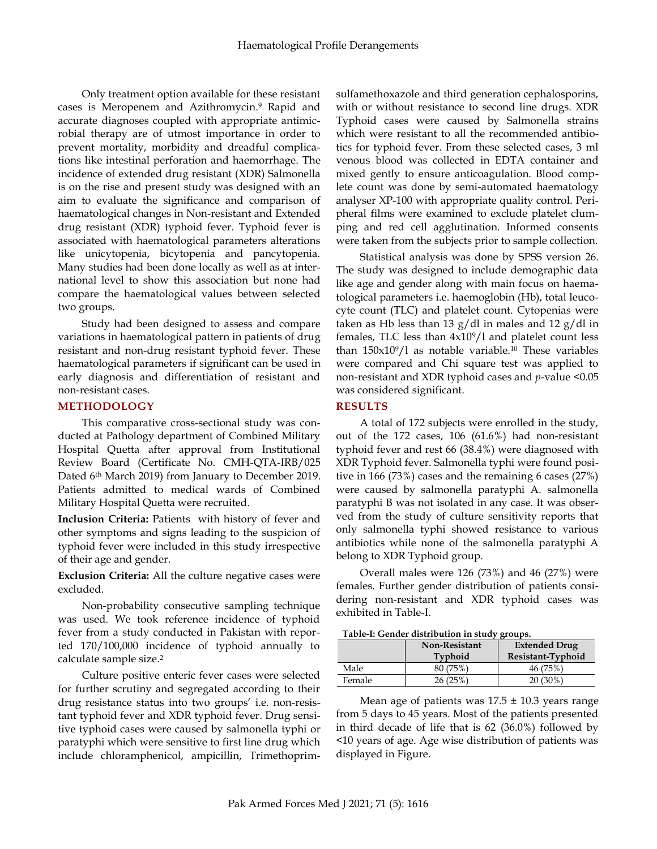Only treatment option available for these resistant cases is Meropenem and Azithromycin. <sup>9</sup> Rapid and accurate diagnoses coupled with appropriate antimicrobial therapy are of utmost importance in order to prevent mortality, morbidity and dreadful complications like intestinal perforation and haemorrhage. The incidence of extended drug resistant (XDR) Salmonella is on the rise and present study was designed with an aim to evaluate the significance and comparison of haematological changes in Non-resistant and Extended drug resistant (XDR) typhoid fever. Typhoid fever is associated with haematological parameters alterations like unicytopenia, bicytopenia and pancytopenia. Many studies had been done locally as well as at international level to show this association but none had compare the haematological values between selected two groups.

Study had been designed to assess and compare variations in haematological pattern in patients of drug resistant and non-drug resistant typhoid fever. These haematological parameters if significant can be used in early diagnosis and differentiation of resistant and non-resistant cases.

## **METHODOLOGY**

This comparative cross-sectional study was conducted at Pathology department of Combined Military Hospital Quetta after approval from Institutional Review Board (Certificate No. CMH-QTA-IRB/025 Dated 6th March 2019) from January to December 2019. Patients admitted to medical wards of Combined Military Hospital Quetta were recruited.

**Inclusion Criteria:** Patients with history of fever and other symptoms and signs leading to the suspicion of typhoid fever were included in this study irrespective of their age and gender.

**Exclusion Criteria:** All the culture negative cases were excluded.

Non-probability consecutive sampling technique was used. We took reference incidence of typhoid fever from a study conducted in Pakistan with reported 170/100,000 incidence of typhoid annually to calculate sample size. 2

Culture positive enteric fever cases were selected for further scrutiny and segregated according to their drug resistance status into two groups' i.e. non-resistant typhoid fever and XDR typhoid fever. Drug sensitive typhoid cases were caused by salmonella typhi or paratyphi which were sensitive to first line drug which include chloramphenicol, ampicillin, Trimethoprimsulfamethoxazole and third generation cephalosporins, with or without resistance to second line drugs. XDR Typhoid cases were caused by Salmonella strains which were resistant to all the recommended antibiotics for typhoid fever. From these selected cases, 3 ml venous blood was collected in EDTA container and mixed gently to ensure anticoagulation. Blood complete count was done by semi-automated haematology analyser XP-100 with appropriate quality control. Peripheral films were examined to exclude platelet clumping and red cell agglutination. Informed consents were taken from the subjects prior to sample collection.

Statistical analysis was done by SPSS version 26. The study was designed to include demographic data like age and gender along with main focus on haematological parameters i.e. haemoglobin (Hb), total leucocyte count (TLC) and platelet count. Cytopenias were taken as Hb less than 13 g/dl in males and 12 g/dl in females, TLC less than 4x109/l and platelet count less than 150x109/l as notable variable. <sup>10</sup> These variables were compared and Chi square test was applied to non-resistant and XDR typhoid cases and *p*-value <0.05 was considered significant.

## **RESULTS**

A total of 172 subjects were enrolled in the study, out of the 172 cases, 106 (61.6%) had non-resistant typhoid fever and rest 66 (38.4%) were diagnosed with XDR Typhoid fever. Salmonella typhi were found positive in 166 (73%) cases and the remaining 6 cases (27%) were caused by salmonella paratyphi A. salmonella paratyphi B was not isolated in any case. It was observed from the study of culture sensitivity reports that only salmonella typhi showed resistance to various antibiotics while none of the salmonella paratyphi A belong to XDR Typhoid group.

Overall males were 126 (73%) and 46 (27%) were females. Further gender distribution of patients considering non-resistant and XDR typhoid cases was exhibited in Table-I.

**Table-I: Gender distribution in study groups.**

|        | <b>Non-Resistant</b><br>Typhoid | <b>Extended Drug</b><br>Resistant-Typhoid |
|--------|---------------------------------|-------------------------------------------|
| Male   | 80 (75%)                        | 46 (75%)                                  |
| Female | 26(25%)                         | $20(30\%)$                                |

Mean age of patients was  $17.5 \pm 10.3$  years range from 5 days to 45 years. Most of the patients presented in third decade of life that is 62 (36.0%) followed by <10 years of age. Age wise distribution of patients was displayed in Figure.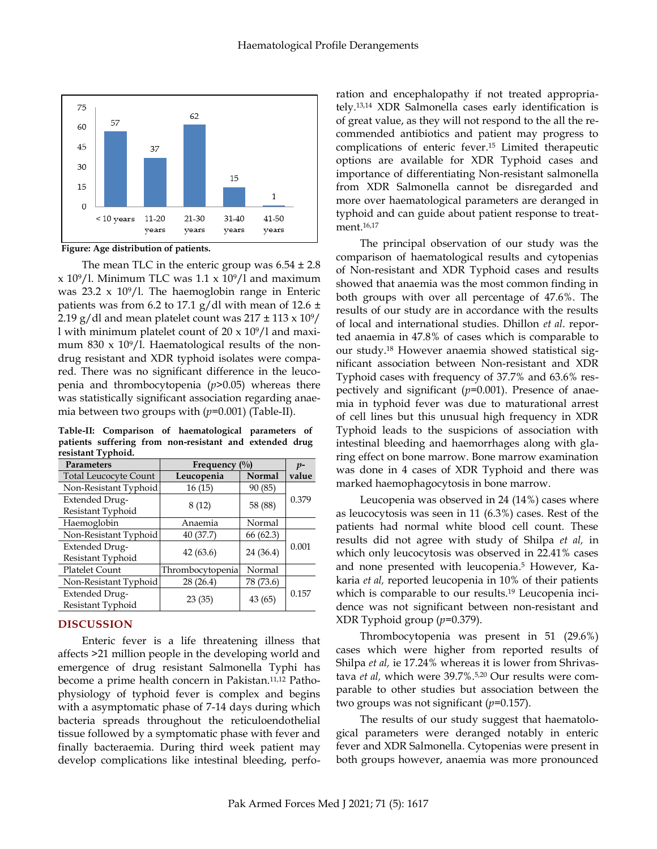

**Figure: Age distribution of patients.**

The mean TLC in the enteric group was  $6.54 \pm 2.8$  $x 10^9/1$ . Minimum TLC was 1.1  $x 10^9/1$  and maximum was  $23.2 \times 10^9 / 1$ . The haemoglobin range in Enteric patients was from 6.2 to 17.1 g/dl with mean of 12.6  $\pm$ 2.19 g/dl and mean platelet count was  $217 \pm 113 \times 10^9/$ l with minimum platelet count of  $20 \times 10^9$ /l and maximum 830  $\times$  10<sup>9</sup>/l. Haematological results of the nondrug resistant and XDR typhoid isolates were compared. There was no significant difference in the leucopenia and thrombocytopenia (*p*>0.05) whereas there was statistically significant association regarding anaemia between two groups with (*p*=0.001) (Table-II).

**Table-II: Comparison of haematological parameters of patients suffering from non-resistant and extended drug resistant Typhoid.**

| <b>Parameters</b>                          | Frequency $(\%$ ) |           | $p-$  |
|--------------------------------------------|-------------------|-----------|-------|
| <b>Total Leucocyte Count</b>               | Leucopenia        | Normal    | value |
| Non-Resistant Typhoid                      | 16(15)            | 90 (85)   |       |
| <b>Extended Drug-</b><br>Resistant Typhoid | 8(12)             | 58 (88)   | 0.379 |
| Haemoglobin                                | Anaemia           | Normal    |       |
| Non-Resistant Typhoid                      | 40 (37.7)         | 66(62.3)  |       |
| <b>Extended Drug-</b><br>Resistant Typhoid | 42(63.6)          | 24 (36.4) | 0.001 |
| <b>Platelet Count</b>                      | Thrombocytopenia  | Normal    |       |
| Non-Resistant Typhoid                      | 28 (26.4)         | 78 (73.6) |       |
| <b>Extended Drug-</b><br>Resistant Typhoid | 23(35)            | 43(65)    | 0.157 |

## **DISCUSSION**

Enteric fever is a life threatening illness that affects >21 million people in the developing world and emergence of drug resistant Salmonella Typhi has become a prime health concern in Pakistan. 11,12 Pathophysiology of typhoid fever is complex and begins with a asymptomatic phase of 7-14 days during which bacteria spreads throughout the reticuloendothelial tissue followed by a symptomatic phase with fever and finally bacteraemia. During third week patient may develop complications like intestinal bleeding, perforation and encephalopathy if not treated appropriately. 13,14 XDR Salmonella cases early identification is of great value, as they will not respond to the all the recommended antibiotics and patient may progress to complications of enteric fever. <sup>15</sup> Limited therapeutic options are available for XDR Typhoid cases and importance of differentiating Non-resistant salmonella from XDR Salmonella cannot be disregarded and more over haematological parameters are deranged in typhoid and can guide about patient response to treatment. 16,17

The principal observation of our study was the comparison of haematological results and cytopenias of Non-resistant and XDR Typhoid cases and results showed that anaemia was the most common finding in both groups with over all percentage of 47.6%. The results of our study are in accordance with the results of local and international studies. Dhillon *et al*. reported anaemia in 47.8% of cases which is comparable to our study. <sup>18</sup> However anaemia showed statistical significant association between Non-resistant and XDR Typhoid cases with frequency of 37.7% and 63.6% respectively and significant (*p*=0.001). Presence of anaemia in typhoid fever was due to maturational arrest of cell lines but this unusual high frequency in XDR Typhoid leads to the suspicions of association with intestinal bleeding and haemorrhages along with glaring effect on bone marrow. Bone marrow examination was done in 4 cases of XDR Typhoid and there was marked haemophagocytosis in bone marrow.

Leucopenia was observed in 24 (14%) cases where as leucocytosis was seen in 11 (6.3%) cases. Rest of the patients had normal white blood cell count. These results did not agree with study of Shilpa *et al,* in which only leucocytosis was observed in 22.41% cases and none presented with leucopenia. <sup>5</sup> However, Kakaria *et al,* reported leucopenia in 10% of their patients which is comparable to our results. <sup>19</sup> Leucopenia incidence was not significant between non-resistant and XDR Typhoid group (*p*=0.379).

Thrombocytopenia was present in 51 (29.6%) cases which were higher from reported results of Shilpa *et al,* ie 17.24% whereas it is lower from Shrivastava *et al,* which were 39.7%. 5,20 Our results were comparable to other studies but association between the two groups was not significant (*p*=0.157).

The results of our study suggest that haematological parameters were deranged notably in enteric fever and XDR Salmonella. Cytopenias were present in both groups however, anaemia was more pronounced